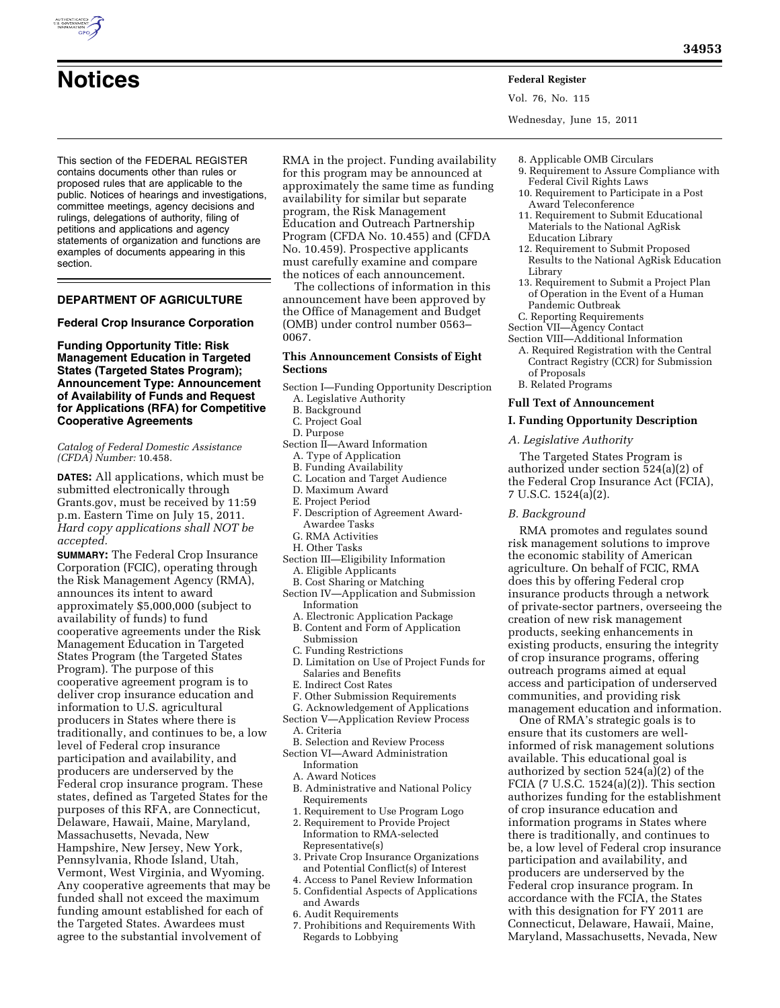

- **Notices Federal Register**
	- Vol. 76, No. 115

Wednesday, June 15, 2011

This section of the FEDERAL REGISTER contains documents other than rules or proposed rules that are applicable to the public. Notices of hearings and investigations, committee meetings, agency decisions and rulings, delegations of authority, filing of petitions and applications and agency statements of organization and functions are examples of documents appearing in this section.

# **DEPARTMENT OF AGRICULTURE**

**Federal Crop Insurance Corporation** 

**Funding Opportunity Title: Risk Management Education in Targeted States (Targeted States Program); Announcement Type: Announcement of Availability of Funds and Request for Applications (RFA) for Competitive Cooperative Agreements** 

*Catalog of Federal Domestic Assistance (CFDA) Number:* 10.458.

**DATES:** All applications, which must be submitted electronically through Grants.gov, must be received by 11:59 p.m. Eastern Time on July 15, 2011. *Hard copy applications shall NOT be accepted.* 

**SUMMARY:** The Federal Crop Insurance Corporation (FCIC), operating through the Risk Management Agency (RMA), announces its intent to award approximately \$5,000,000 (subject to availability of funds) to fund cooperative agreements under the Risk Management Education in Targeted States Program (the Targeted States Program). The purpose of this cooperative agreement program is to deliver crop insurance education and information to U.S. agricultural producers in States where there is traditionally, and continues to be, a low level of Federal crop insurance participation and availability, and producers are underserved by the Federal crop insurance program. These states, defined as Targeted States for the purposes of this RFA, are Connecticut, Delaware, Hawaii, Maine, Maryland, Massachusetts, Nevada, New Hampshire, New Jersey, New York, Pennsylvania, Rhode Island, Utah, Vermont, West Virginia, and Wyoming. Any cooperative agreements that may be funded shall not exceed the maximum funding amount established for each of the Targeted States. Awardees must agree to the substantial involvement of

RMA in the project. Funding availability for this program may be announced at approximately the same time as funding availability for similar but separate program, the Risk Management Education and Outreach Partnership Program (CFDA No. 10.455) and (CFDA No. 10.459). Prospective applicants must carefully examine and compare the notices of each announcement.

The collections of information in this announcement have been approved by the Office of Management and Budget (OMB) under control number 0563– 0067.

# **This Announcement Consists of Eight Sections**

- Section I—Funding Opportunity Description
	- A. Legislative Authority
	- B. Background
	- C. Project Goal
	- D. Purpose
- Section  $\hat{II}$ —Award Information
	- A. Type of Application
	- B. Funding Availability
	- C. Location and Target Audience
	- D. Maximum Award E. Project Period
	-
	- F. Description of Agreement Award-Awardee Tasks
	- G. RMA Activities
- H. Other Tasks
- Section III—Eligibility Information
	- A. Eligible Applicants
- B. Cost Sharing or Matching
- Section IV—Application and Submission Information
	- A. Electronic Application Package
	- B. Content and Form of Application
	- Submission
	- C. Funding Restrictions
	- D. Limitation on Use of Project Funds for Salaries and Benefits
	- E. Indirect Cost Rates
	- F. Other Submission Requirements
	- G. Acknowledgement of Applications
- Section V—Application Review Process A. Criteria
- B. Selection and Review Process
- Section VI—Award Administration Information
	- A. Award Notices
	- B. Administrative and National Policy Requirements
	- 1. Requirement to Use Program Logo
	- 2. Requirement to Provide Project Information to RMA-selected Representative(s)
- 3. Private Crop Insurance Organizations and Potential Conflict(s) of Interest
- 4. Access to Panel Review Information
- 5. Confidential Aspects of Applications and Awards
- 6. Audit Requirements
- 7. Prohibitions and Requirements With Regards to Lobbying
- 8. Applicable OMB Circulars 9. Requirement to Assure Compliance with Federal Civil Rights Laws
- 10. Requirement to Participate in a Post Award Teleconference
- 11. Requirement to Submit Educational Materials to the National AgRisk Education Library
- 12. Requirement to Submit Proposed Results to the National AgRisk Education Library
- 13. Requirement to Submit a Project Plan of Operation in the Event of a Human Pandemic Outbreak
- C. Reporting Requirements
- Section VII—Agency Contact Section VIII—Additional Information
- A. Required Registration with the Central Contract Registry (CCR) for Submission of Proposals
- B. Related Programs

### **Full Text of Announcement**

# **I. Funding Opportunity Description**

*A. Legislative Authority* 

The Targeted States Program is authorized under section 524(a)(2) of the Federal Crop Insurance Act (FCIA), 7 U.S.C. 1524(a)(2).

*B. Background* 

RMA promotes and regulates sound risk management solutions to improve the economic stability of American agriculture. On behalf of FCIC, RMA does this by offering Federal crop insurance products through a network of private-sector partners, overseeing the creation of new risk management products, seeking enhancements in existing products, ensuring the integrity of crop insurance programs, offering outreach programs aimed at equal access and participation of underserved communities, and providing risk management education and information.

One of RMA's strategic goals is to ensure that its customers are wellinformed of risk management solutions available. This educational goal is authorized by section 524(a)(2) of the FCIA (7 U.S.C. 1524(a)(2)). This section authorizes funding for the establishment of crop insurance education and information programs in States where there is traditionally, and continues to be, a low level of Federal crop insurance participation and availability, and producers are underserved by the Federal crop insurance program. In accordance with the FCIA, the States with this designation for FY 2011 are Connecticut, Delaware, Hawaii, Maine, Maryland, Massachusetts, Nevada, New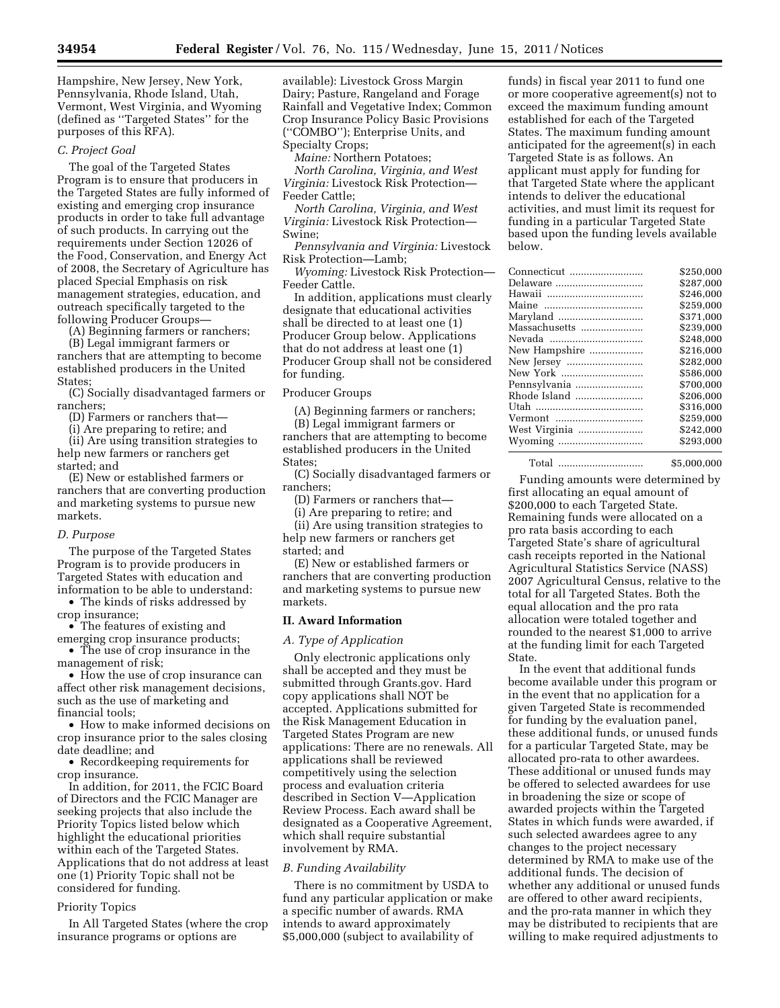Hampshire, New Jersey, New York, Pennsylvania, Rhode Island, Utah, Vermont, West Virginia, and Wyoming (defined as ''Targeted States'' for the purposes of this RFA).

#### *C. Project Goal*

The goal of the Targeted States Program is to ensure that producers in the Targeted States are fully informed of existing and emerging crop insurance products in order to take full advantage of such products. In carrying out the requirements under Section 12026 of the Food, Conservation, and Energy Act of 2008, the Secretary of Agriculture has placed Special Emphasis on risk management strategies, education, and outreach specifically targeted to the following Producer Groups—

(A) Beginning farmers or ranchers;

(B) Legal immigrant farmers or ranchers that are attempting to become established producers in the United States;

(C) Socially disadvantaged farmers or ranchers;

(D) Farmers or ranchers that—

(i) Are preparing to retire; and

(ii) Are using transition strategies to help new farmers or ranchers get started; and

(E) New or established farmers or ranchers that are converting production and marketing systems to pursue new markets.

#### *D. Purpose*

The purpose of the Targeted States Program is to provide producers in Targeted States with education and information to be able to understand:

• The kinds of risks addressed by crop insurance;

- The features of existing and emerging crop insurance products;
- The use of crop insurance in the management of risk;

• How the use of crop insurance can affect other risk management decisions, such as the use of marketing and financial tools;

• How to make informed decisions on crop insurance prior to the sales closing date deadline; and

• Recordkeeping requirements for crop insurance.

In addition, for 2011, the FCIC Board of Directors and the FCIC Manager are seeking projects that also include the Priority Topics listed below which highlight the educational priorities within each of the Targeted States. Applications that do not address at least one (1) Priority Topic shall not be considered for funding.

### Priority Topics

In All Targeted States (where the crop insurance programs or options are

available): Livestock Gross Margin Dairy; Pasture, Rangeland and Forage Rainfall and Vegetative Index; Common Crop Insurance Policy Basic Provisions (''COMBO''); Enterprise Units, and Specialty Crops;

*Maine:* Northern Potatoes;

*North Carolina, Virginia, and West Virginia:* Livestock Risk Protection— Feeder Cattle;

*North Carolina, Virginia, and West Virginia:* Livestock Risk Protection— Swine;

*Pennsylvania and Virginia:* Livestock Risk Protection—Lamb;

*Wyoming:* Livestock Risk Protection— Feeder Cattle.

In addition, applications must clearly designate that educational activities shall be directed to at least one (1) Producer Group below. Applications that do not address at least one (1) Producer Group shall not be considered for funding.

## Producer Groups

(A) Beginning farmers or ranchers;

(B) Legal immigrant farmers or ranchers that are attempting to become established producers in the United States;

(C) Socially disadvantaged farmers or ranchers;

(D) Farmers or ranchers that—

(i) Are preparing to retire; and

(ii) Are using transition strategies to help new farmers or ranchers get started; and

(E) New or established farmers or ranchers that are converting production and marketing systems to pursue new markets.

# **II. Award Information**

#### *A. Type of Application*

Only electronic applications only shall be accepted and they must be submitted through Grants.gov. Hard copy applications shall NOT be accepted. Applications submitted for the Risk Management Education in Targeted States Program are new applications: There are no renewals. All applications shall be reviewed competitively using the selection process and evaluation criteria described in Section V—Application Review Process. Each award shall be designated as a Cooperative Agreement, which shall require substantial involvement by RMA.

## *B. Funding Availability*

There is no commitment by USDA to fund any particular application or make a specific number of awards. RMA intends to award approximately \$5,000,000 (subject to availability of

funds) in fiscal year 2011 to fund one or more cooperative agreement(s) not to exceed the maximum funding amount established for each of the Targeted States. The maximum funding amount anticipated for the agreement(s) in each Targeted State is as follows. An applicant must apply for funding for that Targeted State where the applicant intends to deliver the educational activities, and must limit its request for funding in a particular Targeted State based upon the funding levels available below.

| Connecticut   | \$250,000 |
|---------------|-----------|
| Delaware      | \$287,000 |
|               | \$246.000 |
|               | \$259,000 |
|               | \$371.000 |
| Massachusetts | \$239.000 |
|               | \$248,000 |
| New Hampshire | \$216,000 |
|               | \$282.000 |
|               | \$586.000 |
| Pennsylvania  | \$700.000 |
| Rhode Island  | \$206.000 |
|               | \$316.000 |
| Vermont       | \$259,000 |
| West Virginia | \$242,000 |
|               | \$293,000 |
|               |           |

Total .............................. \$5,000,000

Funding amounts were determined by first allocating an equal amount of \$200,000 to each Targeted State. Remaining funds were allocated on a pro rata basis according to each Targeted State's share of agricultural cash receipts reported in the National Agricultural Statistics Service (NASS) 2007 Agricultural Census, relative to the total for all Targeted States. Both the equal allocation and the pro rata allocation were totaled together and rounded to the nearest \$1,000 to arrive at the funding limit for each Targeted State.

In the event that additional funds become available under this program or in the event that no application for a given Targeted State is recommended for funding by the evaluation panel, these additional funds, or unused funds for a particular Targeted State, may be allocated pro-rata to other awardees. These additional or unused funds may be offered to selected awardees for use in broadening the size or scope of awarded projects within the Targeted States in which funds were awarded, if such selected awardees agree to any changes to the project necessary determined by RMA to make use of the additional funds. The decision of whether any additional or unused funds are offered to other award recipients, and the pro-rata manner in which they may be distributed to recipients that are willing to make required adjustments to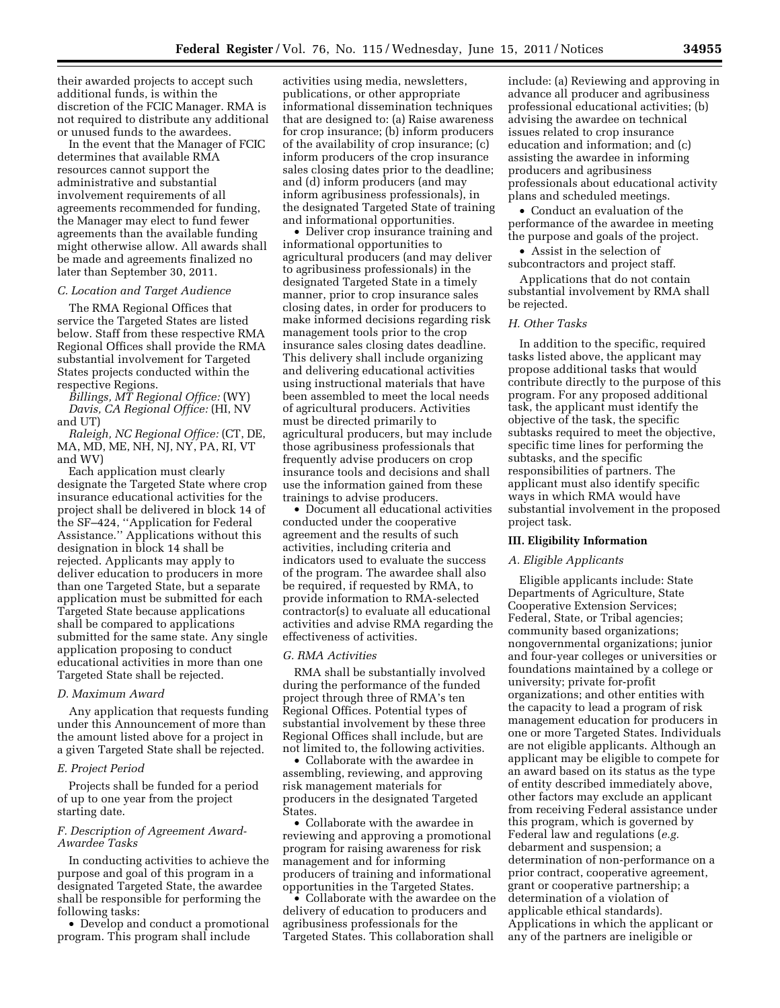their awarded projects to accept such additional funds, is within the discretion of the FCIC Manager. RMA is not required to distribute any additional or unused funds to the awardees.

In the event that the Manager of FCIC determines that available RMA resources cannot support the administrative and substantial involvement requirements of all agreements recommended for funding, the Manager may elect to fund fewer agreements than the available funding might otherwise allow. All awards shall be made and agreements finalized no later than September 30, 2011.

## *C. Location and Target Audience*

The RMA Regional Offices that service the Targeted States are listed below. Staff from these respective RMA Regional Offices shall provide the RMA substantial involvement for Targeted States projects conducted within the respective Regions.

*Billings, MT Regional Office:* (WY) *Davis, CA Regional Office:* (HI, NV and UT)

*Raleigh, NC Regional Office:* (CT, DE, MA, MD, ME, NH, NJ, NY, PA, RI, VT and WV)

Each application must clearly designate the Targeted State where crop insurance educational activities for the project shall be delivered in block 14 of the SF–424, ''Application for Federal Assistance.'' Applications without this designation in block 14 shall be rejected. Applicants may apply to deliver education to producers in more than one Targeted State, but a separate application must be submitted for each Targeted State because applications shall be compared to applications submitted for the same state. Any single application proposing to conduct educational activities in more than one Targeted State shall be rejected.

#### *D. Maximum Award*

Any application that requests funding under this Announcement of more than the amount listed above for a project in a given Targeted State shall be rejected.

#### *E. Project Period*

Projects shall be funded for a period of up to one year from the project starting date.

# *F. Description of Agreement Award-Awardee Tasks*

In conducting activities to achieve the purpose and goal of this program in a designated Targeted State, the awardee shall be responsible for performing the following tasks:

• Develop and conduct a promotional program. This program shall include

activities using media, newsletters, publications, or other appropriate informational dissemination techniques that are designed to: (a) Raise awareness for crop insurance; (b) inform producers of the availability of crop insurance; (c) inform producers of the crop insurance sales closing dates prior to the deadline; and (d) inform producers (and may inform agribusiness professionals), in the designated Targeted State of training and informational opportunities.

• Deliver crop insurance training and informational opportunities to agricultural producers (and may deliver to agribusiness professionals) in the designated Targeted State in a timely manner, prior to crop insurance sales closing dates, in order for producers to make informed decisions regarding risk management tools prior to the crop insurance sales closing dates deadline. This delivery shall include organizing and delivering educational activities using instructional materials that have been assembled to meet the local needs of agricultural producers. Activities must be directed primarily to agricultural producers, but may include those agribusiness professionals that frequently advise producers on crop insurance tools and decisions and shall use the information gained from these trainings to advise producers.

• Document all educational activities conducted under the cooperative agreement and the results of such activities, including criteria and indicators used to evaluate the success of the program. The awardee shall also be required, if requested by RMA, to provide information to RMA-selected contractor(s) to evaluate all educational activities and advise RMA regarding the effectiveness of activities.

#### *G. RMA Activities*

RMA shall be substantially involved during the performance of the funded project through three of RMA's ten Regional Offices. Potential types of substantial involvement by these three Regional Offices shall include, but are not limited to, the following activities.

• Collaborate with the awardee in assembling, reviewing, and approving risk management materials for producers in the designated Targeted **States** 

• Collaborate with the awardee in reviewing and approving a promotional program for raising awareness for risk management and for informing producers of training and informational opportunities in the Targeted States.

• Collaborate with the awardee on the delivery of education to producers and agribusiness professionals for the Targeted States. This collaboration shall

include: (a) Reviewing and approving in advance all producer and agribusiness professional educational activities; (b) advising the awardee on technical issues related to crop insurance education and information; and (c) assisting the awardee in informing producers and agribusiness professionals about educational activity plans and scheduled meetings.

• Conduct an evaluation of the performance of the awardee in meeting the purpose and goals of the project.

• Assist in the selection of

subcontractors and project staff. Applications that do not contain

substantial involvement by RMA shall be rejected.

## *H. Other Tasks*

In addition to the specific, required tasks listed above, the applicant may propose additional tasks that would contribute directly to the purpose of this program. For any proposed additional task, the applicant must identify the objective of the task, the specific subtasks required to meet the objective, specific time lines for performing the subtasks, and the specific responsibilities of partners. The applicant must also identify specific ways in which RMA would have substantial involvement in the proposed project task.

### **III. Eligibility Information**

#### *A. Eligible Applicants*

Eligible applicants include: State Departments of Agriculture, State Cooperative Extension Services; Federal, State, or Tribal agencies; community based organizations; nongovernmental organizations; junior and four-year colleges or universities or foundations maintained by a college or university; private for-profit organizations; and other entities with the capacity to lead a program of risk management education for producers in one or more Targeted States. Individuals are not eligible applicants. Although an applicant may be eligible to compete for an award based on its status as the type of entity described immediately above, other factors may exclude an applicant from receiving Federal assistance under this program, which is governed by Federal law and regulations (*e.g.*  debarment and suspension; a determination of non-performance on a prior contract, cooperative agreement, grant or cooperative partnership; a determination of a violation of applicable ethical standards). Applications in which the applicant or any of the partners are ineligible or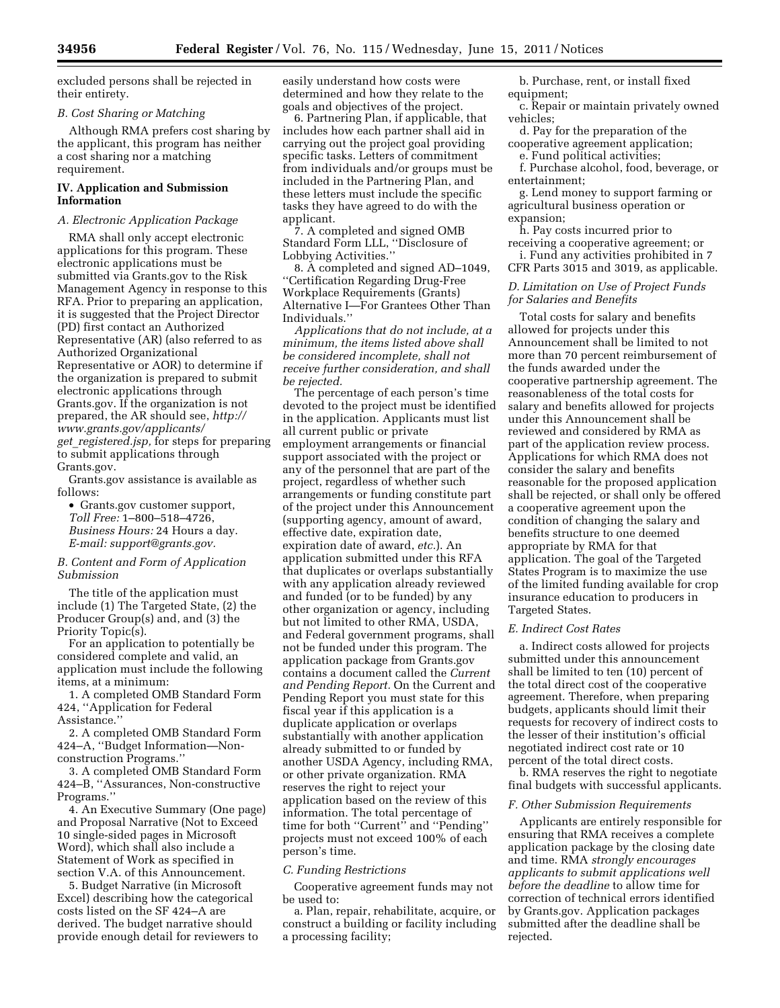excluded persons shall be rejected in their entirety.

### *B. Cost Sharing or Matching*

Although RMA prefers cost sharing by the applicant, this program has neither a cost sharing nor a matching requirement.

# **IV. Application and Submission Information**

#### *A. Electronic Application Package*

RMA shall only accept electronic applications for this program. These electronic applications must be submitted via Grants.gov to the Risk Management Agency in response to this RFA. Prior to preparing an application, it is suggested that the Project Director (PD) first contact an Authorized Representative (AR) (also referred to as Authorized Organizational Representative or AOR) to determine if the organization is prepared to submit electronic applications through Grants.gov. If the organization is not prepared, the AR should see, *[http://](http://www.grants.gov/applicants/get_registered.jsp) [www.grants.gov/applicants/](http://www.grants.gov/applicants/get_registered.jsp)  get*\_*[registered.jsp,](http://www.grants.gov/applicants/get_registered.jsp)* for steps for preparing to submit applications through Grants.gov.

Grants.gov assistance is available as follows:

• Grants.gov customer support, *Toll Free:* 1–800–518–4726, *Business Hours:* 24 Hours a day. *E-mail: [support@grants.gov.](mailto:support@grants.gov)* 

*B. Content and Form of Application Submission* 

The title of the application must include (1) The Targeted State, (2) the Producer Group(s) and, and (3) the Priority Topic(s).

For an application to potentially be considered complete and valid, an application must include the following items, at a minimum:

1. A completed OMB Standard Form 424, ''Application for Federal Assistance.''

2. A completed OMB Standard Form 424–A, ''Budget Information—Nonconstruction Programs.''

3. A completed OMB Standard Form 424–B, ''Assurances, Non-constructive Programs.''

4. An Executive Summary (One page) and Proposal Narrative (Not to Exceed 10 single-sided pages in Microsoft Word), which shall also include a Statement of Work as specified in section V.A. of this Announcement.

5. Budget Narrative (in Microsoft Excel) describing how the categorical costs listed on the SF 424–A are derived. The budget narrative should provide enough detail for reviewers to easily understand how costs were determined and how they relate to the goals and objectives of the project.

6. Partnering Plan, if applicable, that includes how each partner shall aid in carrying out the project goal providing specific tasks. Letters of commitment from individuals and/or groups must be included in the Partnering Plan, and these letters must include the specific tasks they have agreed to do with the applicant.

7. A completed and signed OMB Standard Form LLL, ''Disclosure of Lobbying Activities.''

8. A completed and signed AD–1049, ''Certification Regarding Drug-Free Workplace Requirements (Grants) Alternative I—For Grantees Other Than Individuals.''

*Applications that do not include, at a minimum, the items listed above shall be considered incomplete, shall not receive further consideration, and shall be rejected.* 

The percentage of each person's time devoted to the project must be identified in the application. Applicants must list all current public or private employment arrangements or financial support associated with the project or any of the personnel that are part of the project, regardless of whether such arrangements or funding constitute part of the project under this Announcement (supporting agency, amount of award, effective date, expiration date, expiration date of award, *etc.*). An application submitted under this RFA that duplicates or overlaps substantially with any application already reviewed and funded (or to be funded) by any other organization or agency, including but not limited to other RMA, USDA, and Federal government programs, shall not be funded under this program. The application package from Grants.gov contains a document called the *Current and Pending Report.* On the Current and Pending Report you must state for this fiscal year if this application is a duplicate application or overlaps substantially with another application already submitted to or funded by another USDA Agency, including RMA, or other private organization. RMA reserves the right to reject your application based on the review of this information. The total percentage of time for both ''Current'' and ''Pending'' projects must not exceed 100% of each person's time.

## *C. Funding Restrictions*

Cooperative agreement funds may not be used to:

a. Plan, repair, rehabilitate, acquire, or construct a building or facility including a processing facility;

b. Purchase, rent, or install fixed equipment;

c. Repair or maintain privately owned vehicles;

d. Pay for the preparation of the cooperative agreement application;

e. Fund political activities;

f. Purchase alcohol, food, beverage, or entertainment;

g. Lend money to support farming or agricultural business operation or expansion;

h. Pay costs incurred prior to receiving a cooperative agreement; or i. Fund any activities prohibited in 7

CFR Parts 3015 and 3019, as applicable.

# *D. Limitation on Use of Project Funds for Salaries and Benefits*

Total costs for salary and benefits allowed for projects under this Announcement shall be limited to not more than 70 percent reimbursement of the funds awarded under the cooperative partnership agreement. The reasonableness of the total costs for salary and benefits allowed for projects under this Announcement shall be reviewed and considered by RMA as part of the application review process. Applications for which RMA does not consider the salary and benefits reasonable for the proposed application shall be rejected, or shall only be offered a cooperative agreement upon the condition of changing the salary and benefits structure to one deemed appropriate by RMA for that application. The goal of the Targeted States Program is to maximize the use of the limited funding available for crop insurance education to producers in Targeted States.

#### *E. Indirect Cost Rates*

a. Indirect costs allowed for projects submitted under this announcement shall be limited to ten (10) percent of the total direct cost of the cooperative agreement. Therefore, when preparing budgets, applicants should limit their requests for recovery of indirect costs to the lesser of their institution's official negotiated indirect cost rate or 10 percent of the total direct costs.

b. RMA reserves the right to negotiate final budgets with successful applicants.

#### *F. Other Submission Requirements*

Applicants are entirely responsible for ensuring that RMA receives a complete application package by the closing date and time. RMA *strongly encourages applicants to submit applications well before the deadline* to allow time for correction of technical errors identified by Grants.gov. Application packages submitted after the deadline shall be rejected.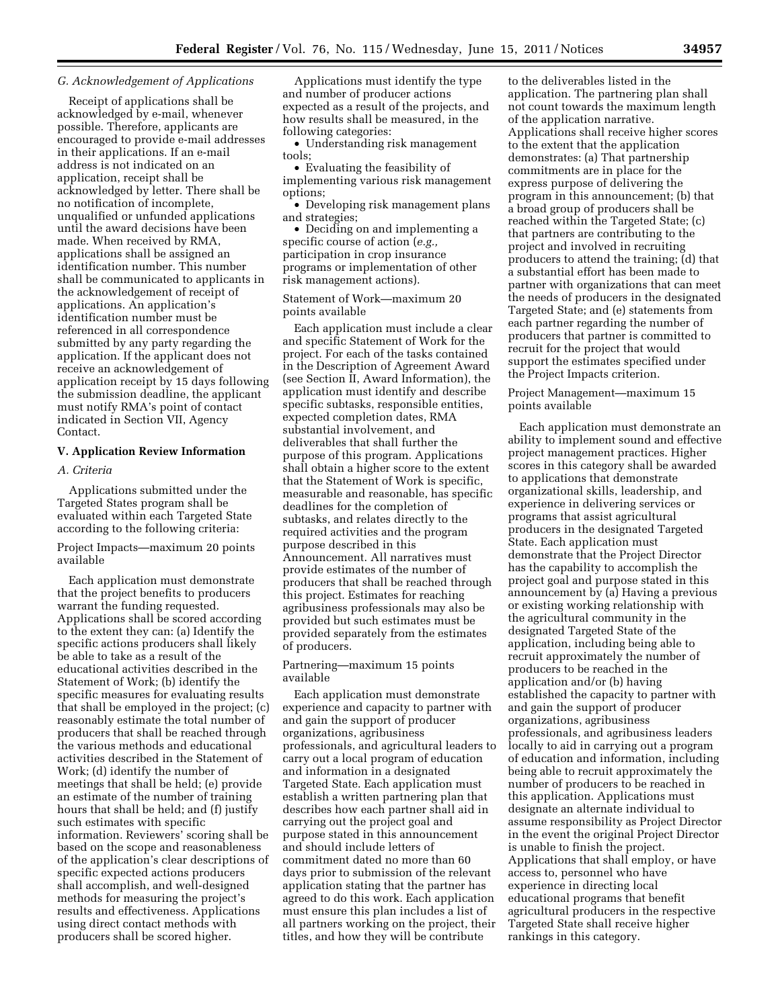## *G. Acknowledgement of Applications*

Receipt of applications shall be acknowledged by e-mail, whenever possible. Therefore, applicants are encouraged to provide e-mail addresses in their applications. If an e-mail address is not indicated on an application, receipt shall be acknowledged by letter. There shall be no notification of incomplete, unqualified or unfunded applications until the award decisions have been made. When received by RMA, applications shall be assigned an identification number. This number shall be communicated to applicants in the acknowledgement of receipt of applications. An application's identification number must be referenced in all correspondence submitted by any party regarding the application. If the applicant does not receive an acknowledgement of application receipt by 15 days following the submission deadline, the applicant must notify RMA's point of contact indicated in Section VII, Agency Contact.

#### **V. Application Review Information**

# *A. Criteria*

Applications submitted under the Targeted States program shall be evaluated within each Targeted State according to the following criteria:

Project Impacts—maximum 20 points available

Each application must demonstrate that the project benefits to producers warrant the funding requested. Applications shall be scored according to the extent they can: (a) Identify the specific actions producers shall likely be able to take as a result of the educational activities described in the Statement of Work; (b) identify the specific measures for evaluating results that shall be employed in the project; (c) reasonably estimate the total number of producers that shall be reached through the various methods and educational activities described in the Statement of Work; (d) identify the number of meetings that shall be held; (e) provide an estimate of the number of training hours that shall be held; and (f) justify such estimates with specific information. Reviewers' scoring shall be based on the scope and reasonableness of the application's clear descriptions of specific expected actions producers shall accomplish, and well-designed methods for measuring the project's results and effectiveness. Applications using direct contact methods with producers shall be scored higher.

Applications must identify the type and number of producer actions expected as a result of the projects, and how results shall be measured, in the following categories:

• Understanding risk management tools;

• Evaluating the feasibility of implementing various risk management options;

• Developing risk management plans and strategies;

• Deciding on and implementing a specific course of action (*e.g.,*  participation in crop insurance programs or implementation of other risk management actions).

## Statement of Work—maximum 20 points available

Each application must include a clear and specific Statement of Work for the project. For each of the tasks contained in the Description of Agreement Award (see Section II, Award Information), the application must identify and describe specific subtasks, responsible entities, expected completion dates, RMA substantial involvement, and deliverables that shall further the purpose of this program. Applications shall obtain a higher score to the extent that the Statement of Work is specific, measurable and reasonable, has specific deadlines for the completion of subtasks, and relates directly to the required activities and the program purpose described in this Announcement. All narratives must provide estimates of the number of producers that shall be reached through this project. Estimates for reaching agribusiness professionals may also be provided but such estimates must be provided separately from the estimates of producers.

## Partnering—maximum 15 points available

Each application must demonstrate experience and capacity to partner with and gain the support of producer organizations, agribusiness professionals, and agricultural leaders to carry out a local program of education and information in a designated Targeted State. Each application must establish a written partnering plan that describes how each partner shall aid in carrying out the project goal and purpose stated in this announcement and should include letters of commitment dated no more than 60 days prior to submission of the relevant application stating that the partner has agreed to do this work. Each application must ensure this plan includes a list of all partners working on the project, their titles, and how they will be contribute

to the deliverables listed in the application. The partnering plan shall not count towards the maximum length of the application narrative. Applications shall receive higher scores to the extent that the application demonstrates: (a) That partnership commitments are in place for the express purpose of delivering the program in this announcement; (b) that a broad group of producers shall be reached within the Targeted State; (c) that partners are contributing to the project and involved in recruiting producers to attend the training; (d) that a substantial effort has been made to partner with organizations that can meet the needs of producers in the designated Targeted State; and (e) statements from each partner regarding the number of producers that partner is committed to recruit for the project that would support the estimates specified under the Project Impacts criterion.

Project Management—maximum 15 points available

Each application must demonstrate an ability to implement sound and effective project management practices. Higher scores in this category shall be awarded to applications that demonstrate organizational skills, leadership, and experience in delivering services or programs that assist agricultural producers in the designated Targeted State. Each application must demonstrate that the Project Director has the capability to accomplish the project goal and purpose stated in this announcement by (a) Having a previous or existing working relationship with the agricultural community in the designated Targeted State of the application, including being able to recruit approximately the number of producers to be reached in the application and/or (b) having established the capacity to partner with and gain the support of producer organizations, agribusiness professionals, and agribusiness leaders locally to aid in carrying out a program of education and information, including being able to recruit approximately the number of producers to be reached in this application. Applications must designate an alternate individual to assume responsibility as Project Director in the event the original Project Director is unable to finish the project. Applications that shall employ, or have access to, personnel who have experience in directing local educational programs that benefit agricultural producers in the respective Targeted State shall receive higher rankings in this category.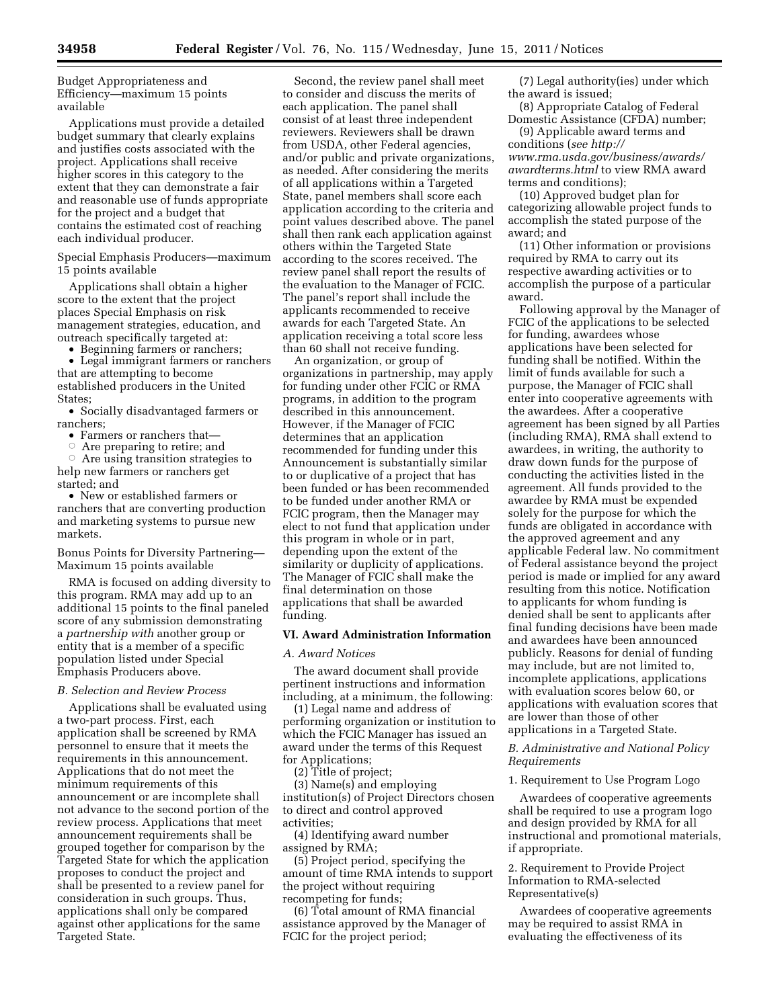Budget Appropriateness and Efficiency—maximum 15 points available

Applications must provide a detailed budget summary that clearly explains and justifies costs associated with the project. Applications shall receive higher scores in this category to the extent that they can demonstrate a fair and reasonable use of funds appropriate for the project and a budget that contains the estimated cost of reaching each individual producer.

Special Emphasis Producers—maximum 15 points available

Applications shall obtain a higher score to the extent that the project places Special Emphasis on risk management strategies, education, and outreach specifically targeted at:

• Beginning farmers or ranchers;

• Legal immigrant farmers or ranchers that are attempting to become established producers in the United States;

• Socially disadvantaged farmers or ranchers;

• Farmers or ranchers that—

 $\circ$  Are preparing to retire; and

 $\circ$  Are using transition strategies to help new farmers or ranchers get started; and

• New or established farmers or ranchers that are converting production and marketing systems to pursue new markets.

Bonus Points for Diversity Partnering— Maximum 15 points available

RMA is focused on adding diversity to this program. RMA may add up to an additional 15 points to the final paneled score of any submission demonstrating a *partnership with* another group or entity that is a member of a specific population listed under Special Emphasis Producers above.

## *B. Selection and Review Process*

Applications shall be evaluated using a two-part process. First, each application shall be screened by RMA personnel to ensure that it meets the requirements in this announcement. Applications that do not meet the minimum requirements of this announcement or are incomplete shall not advance to the second portion of the review process. Applications that meet announcement requirements shall be grouped together for comparison by the Targeted State for which the application proposes to conduct the project and shall be presented to a review panel for consideration in such groups. Thus, applications shall only be compared against other applications for the same Targeted State.

Second, the review panel shall meet to consider and discuss the merits of each application. The panel shall consist of at least three independent reviewers. Reviewers shall be drawn from USDA, other Federal agencies, and/or public and private organizations, as needed. After considering the merits of all applications within a Targeted State, panel members shall score each application according to the criteria and point values described above. The panel shall then rank each application against others within the Targeted State according to the scores received. The review panel shall report the results of the evaluation to the Manager of FCIC. The panel's report shall include the applicants recommended to receive awards for each Targeted State. An application receiving a total score less than 60 shall not receive funding.

An organization, or group of organizations in partnership, may apply for funding under other FCIC or RMA programs, in addition to the program described in this announcement. However, if the Manager of FCIC determines that an application recommended for funding under this Announcement is substantially similar to or duplicative of a project that has been funded or has been recommended to be funded under another RMA or FCIC program, then the Manager may elect to not fund that application under this program in whole or in part, depending upon the extent of the similarity or duplicity of applications. The Manager of FCIC shall make the final determination on those applications that shall be awarded funding.

# **VI. Award Administration Information**

#### *A. Award Notices*

The award document shall provide pertinent instructions and information including, at a minimum, the following:

(1) Legal name and address of performing organization or institution to which the FCIC Manager has issued an award under the terms of this Request for Applications;

(2) Title of project;

(3) Name(s) and employing institution(s) of Project Directors chosen to direct and control approved activities;

(4) Identifying award number assigned by RMA;

(5) Project period, specifying the amount of time RMA intends to support the project without requiring recompeting for funds;

(6) Total amount of RMA financial assistance approved by the Manager of FCIC for the project period;

(7) Legal authority(ies) under which the award is issued;

(8) Appropriate Catalog of Federal Domestic Assistance (CFDA) number;

(9) Applicable award terms and conditions (*see [http://](http://www.rma.usda.gov/business/awards/awardterms.html) [www.rma.usda.gov/business/awards/](http://www.rma.usda.gov/business/awards/awardterms.html) [awardterms.html](http://www.rma.usda.gov/business/awards/awardterms.html)* to view RMA award terms and conditions);

(10) Approved budget plan for categorizing allowable project funds to accomplish the stated purpose of the award; and

(11) Other information or provisions required by RMA to carry out its respective awarding activities or to accomplish the purpose of a particular award.

Following approval by the Manager of FCIC of the applications to be selected for funding, awardees whose applications have been selected for funding shall be notified. Within the limit of funds available for such a purpose, the Manager of FCIC shall enter into cooperative agreements with the awardees. After a cooperative agreement has been signed by all Parties (including RMA), RMA shall extend to awardees, in writing, the authority to draw down funds for the purpose of conducting the activities listed in the agreement. All funds provided to the awardee by RMA must be expended solely for the purpose for which the funds are obligated in accordance with the approved agreement and any applicable Federal law. No commitment of Federal assistance beyond the project period is made or implied for any award resulting from this notice. Notification to applicants for whom funding is denied shall be sent to applicants after final funding decisions have been made and awardees have been announced publicly. Reasons for denial of funding may include, but are not limited to, incomplete applications, applications with evaluation scores below 60, or applications with evaluation scores that are lower than those of other applications in a Targeted State.

*B. Administrative and National Policy Requirements* 

1. Requirement to Use Program Logo

Awardees of cooperative agreements shall be required to use a program logo and design provided by RMA for all instructional and promotional materials, if appropriate.

2. Requirement to Provide Project Information to RMA-selected Representative(s)

Awardees of cooperative agreements may be required to assist RMA in evaluating the effectiveness of its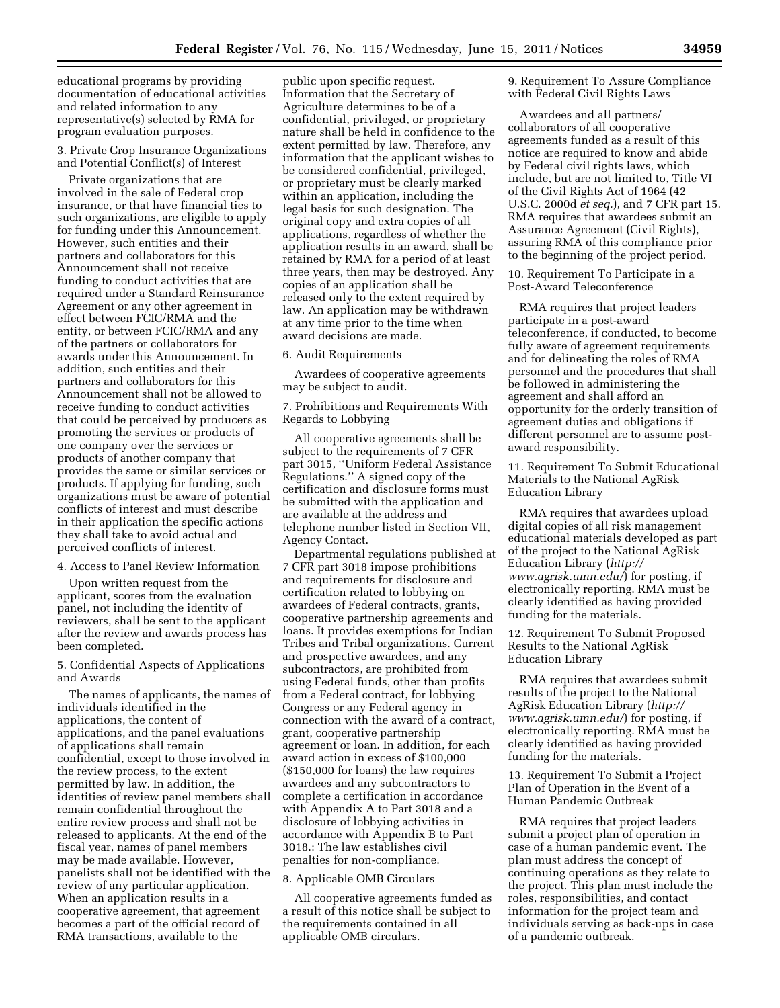educational programs by providing documentation of educational activities and related information to any representative(s) selected by RMA for program evaluation purposes.

#### 3. Private Crop Insurance Organizations and Potential Conflict(s) of Interest

Private organizations that are involved in the sale of Federal crop insurance, or that have financial ties to such organizations, are eligible to apply for funding under this Announcement. However, such entities and their partners and collaborators for this Announcement shall not receive funding to conduct activities that are required under a Standard Reinsurance Agreement or any other agreement in effect between FCIC/RMA and the entity, or between FCIC/RMA and any of the partners or collaborators for awards under this Announcement. In addition, such entities and their partners and collaborators for this Announcement shall not be allowed to receive funding to conduct activities that could be perceived by producers as promoting the services or products of one company over the services or products of another company that provides the same or similar services or products. If applying for funding, such organizations must be aware of potential conflicts of interest and must describe in their application the specific actions they shall take to avoid actual and perceived conflicts of interest.

#### 4. Access to Panel Review Information

Upon written request from the applicant, scores from the evaluation panel, not including the identity of reviewers, shall be sent to the applicant after the review and awards process has been completed.

## 5. Confidential Aspects of Applications and Awards

The names of applicants, the names of individuals identified in the applications, the content of applications, and the panel evaluations of applications shall remain confidential, except to those involved in the review process, to the extent permitted by law. In addition, the identities of review panel members shall remain confidential throughout the entire review process and shall not be released to applicants. At the end of the fiscal year, names of panel members may be made available. However, panelists shall not be identified with the review of any particular application. When an application results in a cooperative agreement, that agreement becomes a part of the official record of RMA transactions, available to the

public upon specific request. Information that the Secretary of Agriculture determines to be of a confidential, privileged, or proprietary nature shall be held in confidence to the extent permitted by law. Therefore, any information that the applicant wishes to be considered confidential, privileged, or proprietary must be clearly marked within an application, including the legal basis for such designation. The original copy and extra copies of all applications, regardless of whether the application results in an award, shall be retained by RMA for a period of at least three years, then may be destroyed. Any copies of an application shall be released only to the extent required by law. An application may be withdrawn at any time prior to the time when award decisions are made.

### 6. Audit Requirements

Awardees of cooperative agreements may be subject to audit.

7. Prohibitions and Requirements With Regards to Lobbying

All cooperative agreements shall be subject to the requirements of 7 CFR part 3015, ''Uniform Federal Assistance Regulations.'' A signed copy of the certification and disclosure forms must be submitted with the application and are available at the address and telephone number listed in Section VII, Agency Contact.

Departmental regulations published at 7 CFR part 3018 impose prohibitions and requirements for disclosure and certification related to lobbying on awardees of Federal contracts, grants, cooperative partnership agreements and loans. It provides exemptions for Indian Tribes and Tribal organizations. Current and prospective awardees, and any subcontractors, are prohibited from using Federal funds, other than profits from a Federal contract, for lobbying Congress or any Federal agency in connection with the award of a contract, grant, cooperative partnership agreement or loan. In addition, for each award action in excess of \$100,000 (\$150,000 for loans) the law requires awardees and any subcontractors to complete a certification in accordance with Appendix A to Part 3018 and a disclosure of lobbying activities in accordance with Appendix B to Part 3018.: The law establishes civil penalties for non-compliance.

## 8. Applicable OMB Circulars

All cooperative agreements funded as a result of this notice shall be subject to the requirements contained in all applicable OMB circulars.

9. Requirement To Assure Compliance with Federal Civil Rights Laws

Awardees and all partners/ collaborators of all cooperative agreements funded as a result of this notice are required to know and abide by Federal civil rights laws, which include, but are not limited to, Title VI of the Civil Rights Act of 1964 (42 U.S.C. 2000d *et seq.*), and 7 CFR part 15. RMA requires that awardees submit an Assurance Agreement (Civil Rights), assuring RMA of this compliance prior to the beginning of the project period.

10. Requirement To Participate in a Post-Award Teleconference

RMA requires that project leaders participate in a post-award teleconference, if conducted, to become fully aware of agreement requirements and for delineating the roles of RMA personnel and the procedures that shall be followed in administering the agreement and shall afford an opportunity for the orderly transition of agreement duties and obligations if different personnel are to assume postaward responsibility.

11. Requirement To Submit Educational Materials to the National AgRisk Education Library

RMA requires that awardees upload digital copies of all risk management educational materials developed as part of the project to the National AgRisk Education Library (*[http://](http://www.agrisk.umn.edu/) [www.agrisk.umn.edu/](http://www.agrisk.umn.edu/)*) for posting, if electronically reporting. RMA must be clearly identified as having provided funding for the materials.

12. Requirement To Submit Proposed Results to the National AgRisk Education Library

RMA requires that awardees submit results of the project to the National AgRisk Education Library (*[http://](http://www.agrisk.umn.edu/) [www.agrisk.umn.edu/](http://www.agrisk.umn.edu/)*) for posting, if electronically reporting. RMA must be clearly identified as having provided funding for the materials.

13. Requirement To Submit a Project Plan of Operation in the Event of a Human Pandemic Outbreak

RMA requires that project leaders submit a project plan of operation in case of a human pandemic event. The plan must address the concept of continuing operations as they relate to the project. This plan must include the roles, responsibilities, and contact information for the project team and individuals serving as back-ups in case of a pandemic outbreak.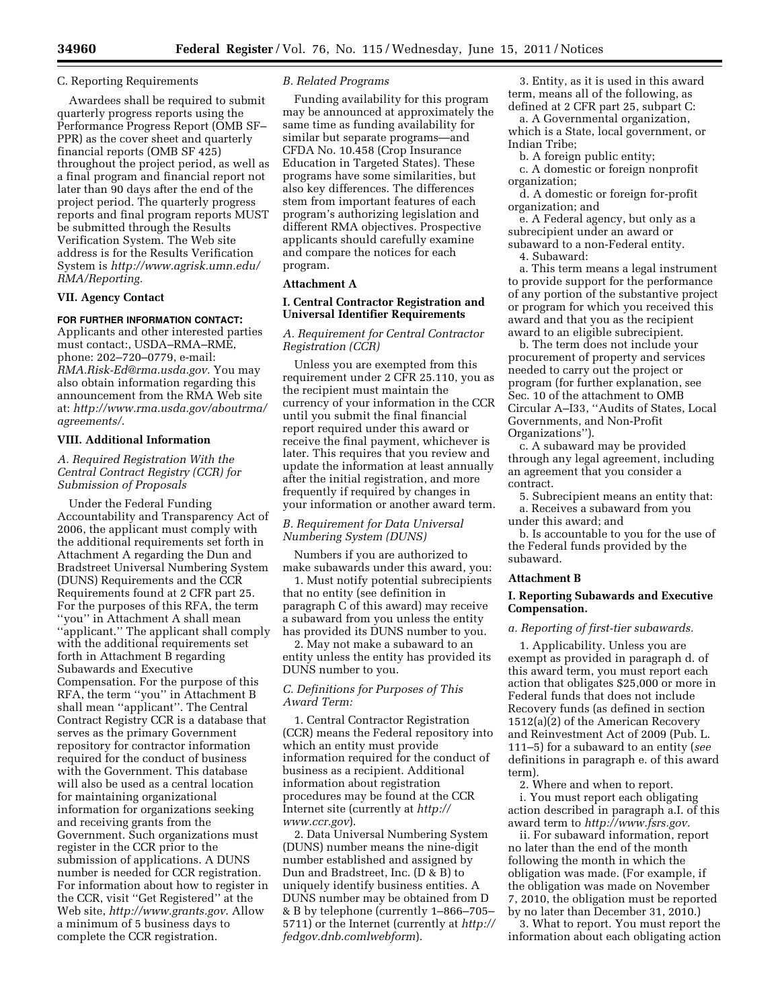#### C. Reporting Requirements

Awardees shall be required to submit quarterly progress reports using the Performance Progress Report (OMB SF– PPR) as the cover sheet and quarterly financial reports (OMB SF 425) throughout the project period, as well as a final program and financial report not later than 90 days after the end of the project period. The quarterly progress reports and final program reports MUST be submitted through the Results Verification System. The Web site address is for the Results Verification System is *[http://www.agrisk.umn.edu/](http://www.agrisk.umn.edu/RMA/Reporting) [RMA/Reporting.](http://www.agrisk.umn.edu/RMA/Reporting)* 

#### **VII. Agency Contact**

# **FOR FURTHER INFORMATION CONTACT:**

Applicants and other interested parties must contact:, USDA–RMA–RME, phone: 202–720–0779, e-mail: *[RMA.Risk-Ed@rma.usda.gov.](mailto:RMA.Risk-Ed@rma.usda.gov)* You may also obtain information regarding this announcement from the RMA Web site at: *[http://www.rma.usda.gov/aboutrma/](http://www.rma.usda.gov/aboutrma/agreements/)  [agreements/](http://www.rma.usda.gov/aboutrma/agreements/)*.

# **VIII. Additional Information**

# *A. Required Registration With the Central Contract Registry (CCR) for Submission of Proposals*

Under the Federal Funding Accountability and Transparency Act of 2006, the applicant must comply with the additional requirements set forth in Attachment A regarding the Dun and Bradstreet Universal Numbering System (DUNS) Requirements and the CCR Requirements found at 2 CFR part 25. For the purposes of this RFA, the term ''you'' in Attachment A shall mean ''applicant.'' The applicant shall comply with the additional requirements set forth in Attachment B regarding Subawards and Executive Compensation. For the purpose of this RFA, the term ''you'' in Attachment B shall mean ''applicant''. The Central Contract Registry CCR is a database that serves as the primary Government repository for contractor information required for the conduct of business with the Government. This database will also be used as a central location for maintaining organizational information for organizations seeking and receiving grants from the Government. Such organizations must register in the CCR prior to the submission of applications. A DUNS number is needed for CCR registration. For information about how to register in the CCR, visit ''Get Registered'' at the Web site, *<http://www.grants.gov>*. Allow a minimum of 5 business days to complete the CCR registration.

### *B. Related Programs*

Funding availability for this program may be announced at approximately the same time as funding availability for similar but separate programs—and CFDA No. 10.458 (Crop Insurance Education in Targeted States). These programs have some similarities, but also key differences. The differences stem from important features of each program's authorizing legislation and different RMA objectives. Prospective applicants should carefully examine and compare the notices for each program.

#### **Attachment A**

# **I. Central Contractor Registration and Universal Identifier Requirements**

# *A. Requirement for Central Contractor Registration (CCR)*

Unless you are exempted from this requirement under 2 CFR 25.110, you as the recipient must maintain the currency of your information in the CCR until you submit the final financial report required under this award or receive the final payment, whichever is later. This requires that you review and update the information at least annually after the initial registration, and more frequently if required by changes in your information or another award term.

# *B. Requirement for Data Universal Numbering System (DUNS)*

Numbers if you are authorized to make subawards under this award, you:

1. Must notify potential subrecipients that no entity (see definition in paragraph C of this award) may receive a subaward from you unless the entity has provided its DUNS number to you.

2. May not make a subaward to an entity unless the entity has provided its DUNS number to you.

# *C. Definitions for Purposes of This Award Term:*

1. Central Contractor Registration (CCR) means the Federal repository into which an entity must provide information required for the conduct of business as a recipient. Additional information about registration procedures may be found at the CCR Internet site (currently at *[http://](http://www.ccr.gov)  [www.ccr.gov](http://www.ccr.gov)*).

2. Data Universal Numbering System (DUNS) number means the nine-digit number established and assigned by Dun and Bradstreet, Inc. (D & B) to uniquely identify business entities. A DUNS number may be obtained from D & B by telephone (currently 1–866–705– 5711) or the Internet (currently at *[http://](http://fedgov.dnb.comlwebform)  [fedgov.dnb.comlwebform](http://fedgov.dnb.comlwebform)*).

3. Entity, as it is used in this award term, means all of the following, as defined at 2 CFR part 25, subpart C:

a. A Governmental organization, which is a State, local government, or Indian Tribe;

b. A foreign public entity;

c. A domestic or foreign nonprofit organization;

d. A domestic or foreign for-profit organization; and

e. A Federal agency, but only as a subrecipient under an award or subaward to a non-Federal entity.

4. Subaward:

a. This term means a legal instrument to provide support for the performance of any portion of the substantive project or program for which you received this award and that you as the recipient award to an eligible subrecipient.

b. The term does not include your procurement of property and services needed to carry out the project or program (for further explanation, see Sec. 10 of the attachment to OMB Circular A–I33, ''Audits of States, Local Governments, and Non-Profit Organizations'').

c. A subaward may be provided through any legal agreement, including an agreement that you consider a contract.

5. Subrecipient means an entity that: a. Receives a subaward from you

under this award; and b. Is accountable to you for the use of

the Federal funds provided by the subaward.

# **Attachment B**

## **I. Reporting Subawards and Executive Compensation.**

# *a. Reporting of first-tier subawards.*

1. Applicability. Unless you are exempt as provided in paragraph d. of this award term, you must report each action that obligates \$25,000 or more in Federal funds that does not include Recovery funds (as defined in section 1512(a)(2) of the American Recovery and Reinvestment Act of 2009 (Pub. L. 111–5) for a subaward to an entity (*see*  definitions in paragraph e. of this award term).

2. Where and when to report. i. You must report each obligating action described in paragraph a.I. of this award term to *[http://www.fsrs.gov.](http://www.fsrs.gov)* 

ii. For subaward information, report no later than the end of the month following the month in which the obligation was made. (For example, if the obligation was made on November 7, 2010, the obligation must be reported by no later than December 31, 2010.)

3. What to report. You must report the information about each obligating action